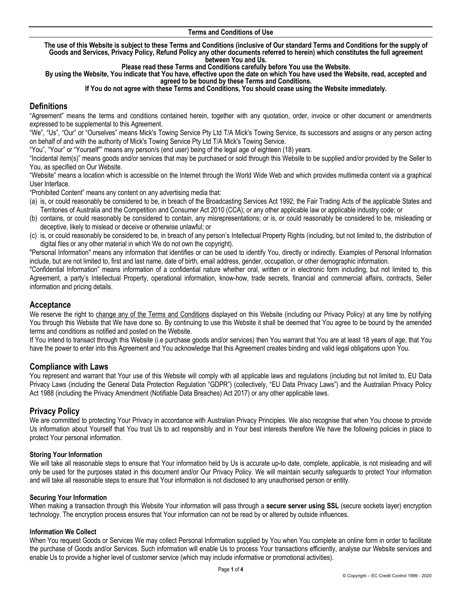#### **Terms and Conditions of Use**

**The use of this Website is subject to these Terms and Conditions (inclusive of Our standard Terms and Conditions for the supply of Goods and Services, Privacy Policy, Refund Policy any other documents referred to herein) which constitutes the full agreement between You and Us.** 

**Please read these Terms and Conditions carefully before You use the Website.** 

**By using the Website, You indicate that You have, effective upon the date on which You have used the Website, read, accepted and agreed to be bound by these Terms and Conditions.**

#### **If You do not agree with these Terms and Conditions, You should cease using the Website immediately.**

# **Definitions**

"Agreement" means the terms and conditions contained herein, together with any quotation, order, invoice or other document or amendments expressed to be supplemental to this Agreement.

"We", "Us", "Our" or "Ourselves" means Mick's Towing Service Pty Ltd T/A Mick's Towing Service, its successors and assigns or any person acting on behalf of and with the authority of Mick's Towing Service Pty Ltd T/A Mick's Towing Service.

"You", "Your" or "Yourself"" means any person/s (end user) being of the legal age of eighteen (18) years.

"Incidental item(s)" means goods and/or services that may be purchased or sold through this Website to be supplied and/or provided by the Seller to You, as specified on Our Website.

"Website" means a location which is accessible on the Internet through the World Wide Web and which provides multimedia content via a graphical User Interface.

"Prohibited Content" means any content on any advertising media that:

- (a) is, or could reasonably be considered to be, in breach of the Broadcasting Services Act 1992; the Fair Trading Acts of the applicable States and Territories of Australia and the Competition and Consumer Act 2010 (CCA); or any other applicable law or applicable industry code; or
- (b) contains, or could reasonably be considered to contain, any misrepresentations; or is, or could reasonably be considered to be, misleading or deceptive, likely to mislead or deceive or otherwise unlawful; or
- (c) is, or could reasonably be considered to be, in breach of any person's Intellectual Property Rights (including, but not limited to, the distribution of digital files or any other material in which We do not own the copyright).

"Personal Information" means any information that identifies or can be used to identify You, directly or indirectly. Examples of Personal Information include, but are not limited to, first and last name, date of birth, email address, gender, occupation, or other demographic information.

"Confidential Information" means information of a confidential nature whether oral, written or in electronic form including, but not limited to, this Agreement, a party's Intellectual Property, operational information, know-how, trade secrets, financial and commercial affairs, contracts, Seller information and pricing details.

## **Acceptance**

We reserve the right to change any of the Terms and Conditions displayed on this Website (including our Privacy Policy) at any time by notifying You through this Website that We have done so. By continuing to use this Website it shall be deemed that You agree to be bound by the amended terms and conditions as notified and posted on the Website.

If You intend to transact through this Website (i.e purchase goods and/or services) then You warrant that You are at least 18 years of age, that You have the power to enter into this Agreement and You acknowledge that this Agreement creates binding and valid legal obligations upon You.

## **Compliance with Laws**

You represent and warrant that Your use of this Website will comply with all applicable laws and regulations (including but not limited to, EU Data Privacy Laws (including the General Data Protection Regulation "GDPR") (collectively, "EU Data Privacy Laws") and the Australian Privacy Policy Act 1988 (including the Privacy Amendment (Notifiable Data Breaches) Act 2017) or any other applicable laws.

# **Privacy Policy**

We are committed to protecting Your Privacy in accordance with Australian Privacy Principles. We also recognise that when You choose to provide Us information about Yourself that You trust Us to act responsibly and in Your best interests therefore We have the following policies in place to protect Your personal information.

#### **Storing Your Information**

We will take all reasonable steps to ensure that Your information held by Us is accurate up-to date, complete, applicable, is not misleading and will only be used for the purposes stated in this document and/or Our Privacy Policy. We will maintain security safeguards to protect Your information and will take all reasonable steps to ensure that Your information is not disclosed to any unauthorised person or entity.

#### **Securing Your Information**

When making a transaction through this Website Your information will pass through a **secure server using SSL** (secure sockets layer) encryption technology. The encryption process ensures that Your information can not be read by or altered by outside influences.

#### **Information We Collect**

When You request Goods or Services We may collect Personal Information supplied by You when You complete an online form in order to facilitate the purchase of Goods and/or Services. Such information will enable Us to process Your transactions efficiently, analyse our Website services and enable Us to provide a higher level of customer service (which may include informative or promotional activities).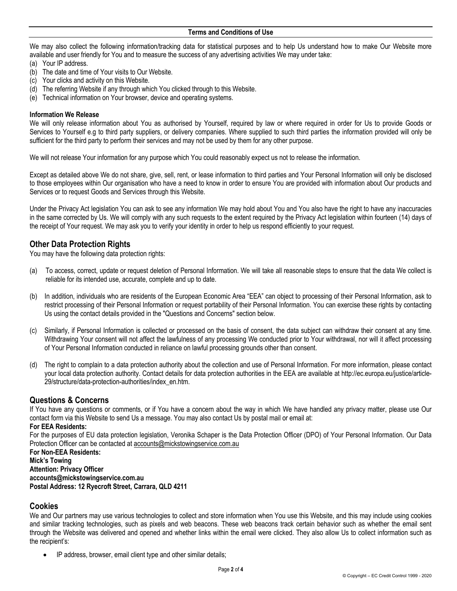We may also collect the following information/tracking data for statistical purposes and to help Us understand how to make Our Website more available and user friendly for You and to measure the success of any advertising activities We may under take:

- (a) Your IP address.
- (b) The date and time of Your visits to Our Website.
- (c) Your clicks and activity on this Website.
- (d) The referring Website if any through which You clicked through to this Website.
- (e) Technical information on Your browser, device and operating systems.

#### **Information We Release**

We will only release information about You as authorised by Yourself, required by law or where required in order for Us to provide Goods or Services to Yourself e.g to third party suppliers, or delivery companies. Where supplied to such third parties the information provided will only be sufficient for the third party to perform their services and may not be used by them for any other purpose.

We will not release Your information for any purpose which You could reasonably expect us not to release the information.

Except as detailed above We do not share, give, sell, rent, or lease information to third parties and Your Personal Information will only be disclosed to those employees within Our organisation who have a need to know in order to ensure You are provided with information about Our products and Services or to request Goods and Services through this Website.

Under the Privacy Act legislation You can ask to see any information We may hold about You and You also have the right to have any inaccuracies in the same corrected by Us. We will comply with any such requests to the extent required by the Privacy Act legislation within fourteen (14) days of the receipt of Your request. We may ask you to verify your identity in order to help us respond efficiently to your request.

## **Other Data Protection Rights**

You may have the following data protection rights:

- (a) To access, correct, update or request deletion of Personal Information. We will take all reasonable steps to ensure that the data We collect is reliable for its intended use, accurate, complete and up to date.
- (b) In addition, individuals who are residents of the European Economic Area "EEA" can object to processing of their Personal Information, ask to restrict processing of their Personal Information or request portability of their Personal Information. You can exercise these rights by contacting Us using the contact details provided in the "Questions and Concerns" section below.
- (c) Similarly, if Personal Information is collected or processed on the basis of consent, the data subject can withdraw their consent at any time. Withdrawing Your consent will not affect the lawfulness of any processing We conducted prior to Your withdrawal, nor will it affect processing of Your Personal Information conducted in reliance on lawful processing grounds other than consent.
- (d) The right to complain to a data protection authority about the collection and use of Personal Information. For more information, please contact your local data protection authority. Contact details for data protection authorities in the EEA are available at http://ec.europa.eu/justice/article-29/structure/data-protection-authorities/index\_en.htm.

# **Questions & Concerns**

If You have any questions or comments, or if You have a concern about the way in which We have handled any privacy matter, please use Our contact form via this Website to send Us a message. You may also contact Us by postal mail or email at:

#### **For EEA Residents:**

For the purposes of EU data protection legislation, Veronika Schaper is the Data Protection Officer (DPO) of Your Personal Information. Our Data Protection Officer can be contacted at accounts@mickstowingservice.com.au

**For Non-EEA Residents: Mick's Towing Attention: Privacy Officer accounts@mickstowingservice.com.au Postal Address: 12 Ryecroft Street, Carrara, QLD 4211**

## **Cookies**

We and Our partners may use various technologies to collect and store information when You use this Website, and this may include using cookies and similar tracking technologies, such as pixels and web beacons. These web beacons track certain behavior such as whether the email sent through the Website was delivered and opened and whether links within the email were clicked. They also allow Us to collect information such as the recipient's:

• IP address, browser, email client type and other similar details;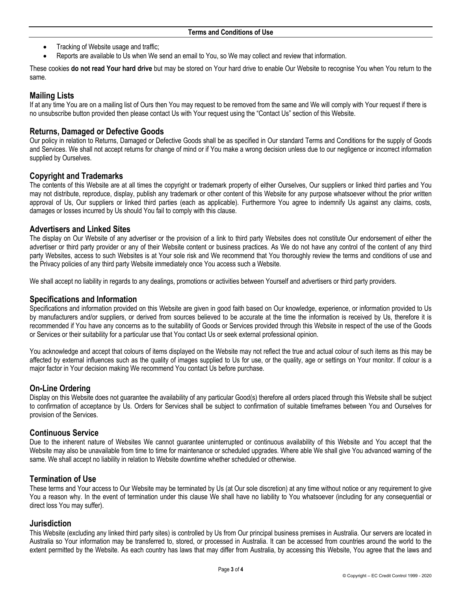- Tracking of Website usage and traffic;
- Reports are available to Us when We send an email to You, so We may collect and review that information.

These cookies **do not read Your hard drive** but may be stored on Your hard drive to enable Our Website to recognise You when You return to the same.

# **Mailing Lists**

If at any time You are on a mailing list of Ours then You may request to be removed from the same and We will comply with Your request if there is no unsubscribe button provided then please contact Us with Your request using the "Contact Us" section of this Website.

## **Returns, Damaged or Defective Goods**

Our policy in relation to Returns, Damaged or Defective Goods shall be as specified in Our standard Terms and Conditions for the supply of Goods and Services. We shall not accept returns for change of mind or if You make a wrong decision unless due to our negligence or incorrect information supplied by Ourselves.

## **Copyright and Trademarks**

The contents of this Website are at all times the copyright or trademark property of either Ourselves, Our suppliers or linked third parties and You may not distribute, reproduce, display, publish any trademark or other content of this Website for any purpose whatsoever without the prior written approval of Us, Our suppliers or linked third parties (each as applicable). Furthermore You agree to indemnify Us against any claims, costs, damages or losses incurred by Us should You fail to comply with this clause.

## **Advertisers and Linked Sites**

The display on Our Website of any advertiser or the provision of a link to third party Websites does not constitute Our endorsement of either the advertiser or third party provider or any of their Website content or business practices. As We do not have any control of the content of any third party Websites, access to such Websites is at Your sole risk and We recommend that You thoroughly review the terms and conditions of use and the Privacy policies of any third party Website immediately once You access such a Website.

We shall accept no liability in regards to any dealings, promotions or activities between Yourself and advertisers or third party providers.

## **Specifications and Information**

Specifications and information provided on this Website are given in good faith based on Our knowledge, experience, or information provided to Us by manufacturers and/or suppliers, or derived from sources believed to be accurate at the time the information is received by Us, therefore it is recommended if You have any concerns as to the suitability of Goods or Services provided through this Website in respect of the use of the Goods or Services or their suitability for a particular use that You contact Us or seek external professional opinion.

You acknowledge and accept that colours of items displayed on the Website may not reflect the true and actual colour of such items as this may be affected by external influences such as the quality of images supplied to Us for use, or the quality, age or settings on Your monitor. If colour is a major factor in Your decision making We recommend You contact Us before purchase.

# **On-Line Ordering**

Display on this Website does not guarantee the availability of any particular Good(s) therefore all orders placed through this Website shall be subject to confirmation of acceptance by Us. Orders for Services shall be subject to confirmation of suitable timeframes between You and Ourselves for provision of the Services.

## **Continuous Service**

Due to the inherent nature of Websites We cannot guarantee uninterrupted or continuous availability of this Website and You accept that the Website may also be unavailable from time to time for maintenance or scheduled upgrades. Where able We shall give You advanced warning of the same. We shall accept no liability in relation to Website downtime whether scheduled or otherwise.

## **Termination of Use**

These terms and Your access to Our Website may be terminated by Us (at Our sole discretion) at any time without notice or any requirement to give You a reason why. In the event of termination under this clause We shall have no liability to You whatsoever (including for any consequential or direct loss You may suffer).

## **Jurisdiction**

This Website (excluding any linked third party sites) is controlled by Us from Our principal business premises in Australia. Our servers are located in Australia so Your information may be transferred to, stored, or processed in Australia. It can be accessed from countries around the world to the extent permitted by the Website. As each country has laws that may differ from Australia, by accessing this Website, You agree that the laws and